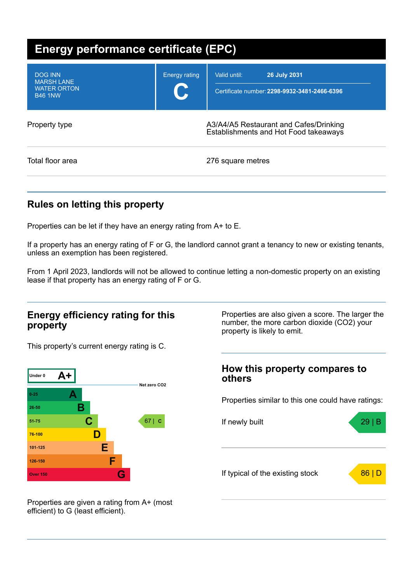| <b>Energy performance certificate (EPC)</b>                                 |                                                                                 |                                                                                     |  |  |
|-----------------------------------------------------------------------------|---------------------------------------------------------------------------------|-------------------------------------------------------------------------------------|--|--|
| <b>DOG INN</b><br><b>MARSH LANE</b><br><b>WATER ORTON</b><br><b>B46 1NW</b> | <b>Energy rating</b><br>U.                                                      | <b>26 July 2031</b><br>Valid until:<br>Certificate number: 2298-9932-3481-2466-6396 |  |  |
| Property type                                                               | A3/A4/A5 Restaurant and Cafes/Drinking<br>Establishments and Hot Food takeaways |                                                                                     |  |  |
| Total floor area                                                            |                                                                                 | 276 square metres                                                                   |  |  |

## **Rules on letting this property**

Properties can be let if they have an energy rating from A+ to E.

If a property has an energy rating of F or G, the landlord cannot grant a tenancy to new or existing tenants, unless an exemption has been registered.

From 1 April 2023, landlords will not be allowed to continue letting a non-domestic property on an existing lease if that property has an energy rating of F or G.

### **Energy efficiency rating for this property**

This property's current energy rating is C.



Properties are also given a score. The larger the number, the more carbon dioxide (CO2) your property is likely to emit.

## **How this property compares to others**

Properties similar to this one could have ratings:



Properties are given a rating from A+ (most efficient) to G (least efficient).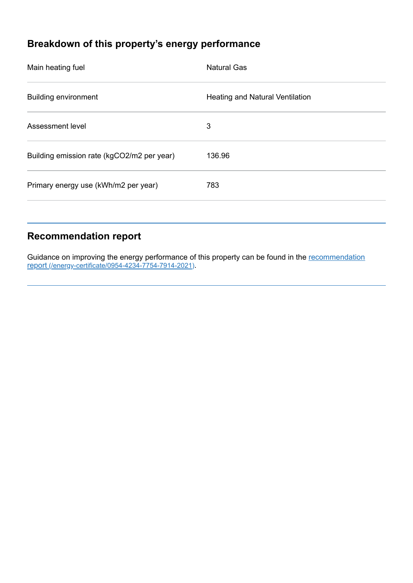# **Breakdown of this property's energy performance**

| Main heating fuel                          | <b>Natural Gas</b>                     |
|--------------------------------------------|----------------------------------------|
| <b>Building environment</b>                | <b>Heating and Natural Ventilation</b> |
| Assessment level                           | 3                                      |
| Building emission rate (kgCO2/m2 per year) | 136.96                                 |
| Primary energy use (kWh/m2 per year)       | 783                                    |
|                                            |                                        |

## **Recommendation report**

Guidance on improving the energy performance of this property can be found in the recommendation report (/energy-certificate/0954-4234-7754-7914-2021).